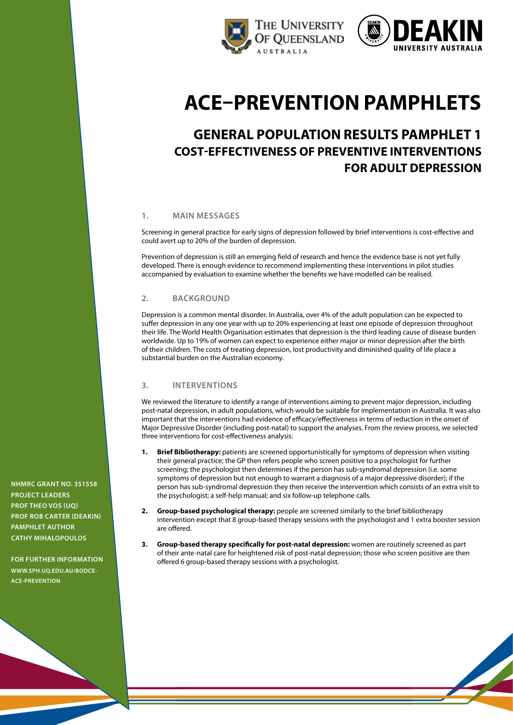



# **ACE–Prevention pamphlets**

# **General population results pamphlet 1 cost-effectiveness of preventive interventions for adult depression**

### **1. main messages**

Screening in general practice for early signs of depression followed by brief interventions is cost-effective and could avert up to 20% of the burden of depression.

Prevention of depression is still an emerging field of research and hence the evidence base is not yet fully developed. There is enough evidence to recommend implementing these interventions in pilot studies accompanied by evaluation to examine whether the benefits we have modelled can be realised.

### **2. background**

Depression is a common mental disorder. In Australia, over 4% of the adult population can be expected to suffer depression in any one year with up to 20% experiencing at least one episode of depression throughout their life. The World Health Organisation estimates that depression is the third leading cause of disease burden worldwide. Up to 19% of women can expect to experience either major or minor depression after the birth of their children. The costs of treating depression, lost productivity and diminished quality of life place a substantial burden on the Australian economy.

# **3. interventions**

We reviewed the literature to identify a range of interventions aiming to prevent major depression, including post-natal depression, in adult populations, which would be suitable for implementation in Australia. It was also important that the interventions had evidence of efficacy/effectiveness in terms of reduction in the onset of Major Depressive Disorder (including post-natal) to support the analyses. From the review process, we selected three interventions for cost-effectiveness analysis:

- **Brief Bibliotherapy:** patients are screened opportunistically for symptoms of depression when visiting their general practice; the GP then refers people who screen positive to a psychologist for further screening; the psychologist then determines if the person has sub-syndromal depression (i.e. some symptoms of depression but not enough to warrant a diagnosis of a major depressive disorder); if the person has sub-syndromal depression they then receive the intervention which consists of an extra visit to the psychologist; a self-help manual; and six follow-up telephone calls.
- **2. Group-based psychological therapy:** people are screened similarly to the brief bibliotherapy intervention except that 8 group-based therapy sessions with the psychologist and 1 extra booster session are offered.
- **3. Group-based therapy specifically for post-natal depression:** women are routinely screened as part of their ante-natal care for heightened risk of post-natal depression; those who screen positive are then offered 6 group-based therapy sessions with a psychologist.

**NHMRC Grant No. 351558 project leaders Prof Theo Vos (UQ) Prof Rob Carter (Deakin) pamphlet author cathy mihalopoulos**

**For further information www.SPH.[uq.edu.au/bodce](http://www.sph.uq.edu.au/bodce-ace-prevention)-ACE-PREVENTION**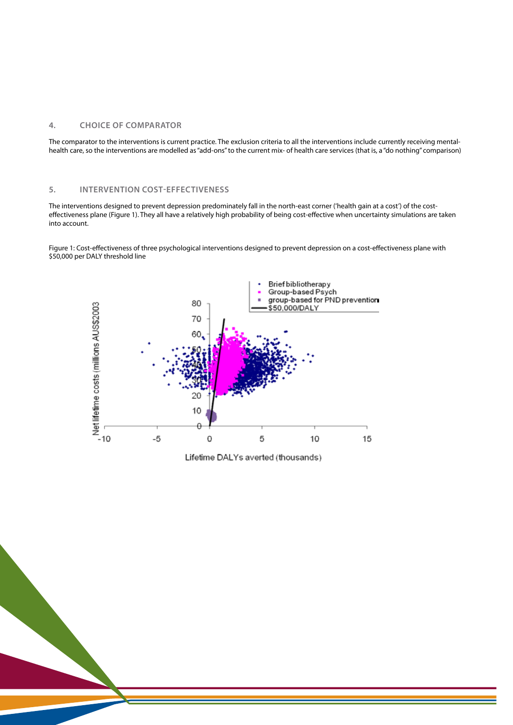### **4. Choice of comparator**

The comparator to the interventions is current practice. The exclusion criteria to all the interventions include currently receiving mentalhealth care, so the interventions are modelled as "add-ons" to the current mix- of health care services (that is, a "do nothing" comparison)

# **5. intervention cost-effectiveness**

The interventions designed to prevent depression predominately fall in the north-east corner ('health gain at a cost') of the costeffectiveness plane (Figure 1). They all have a relatively high probability of being cost-effective when uncertainty simulations are taken into account.

Figure 1: Cost-effectiveness of three psychological interventions designed to prevent depression on a cost-effectiveness plane with \$50,000 per DALY threshold line



Lifetime DALYs averted (thousands)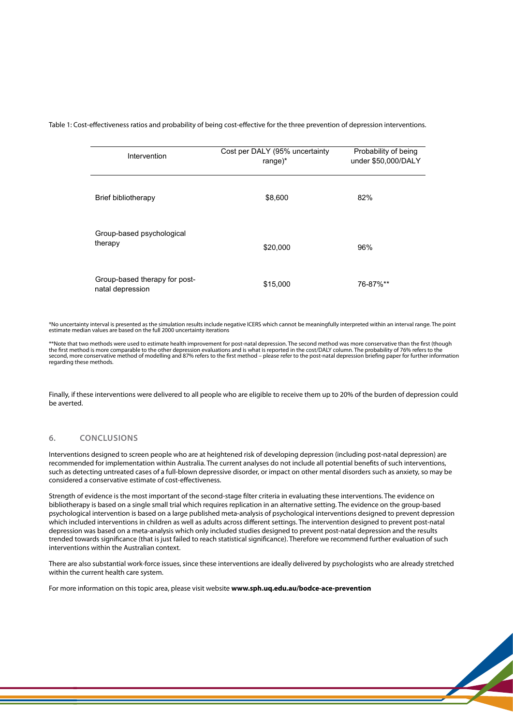Table 1: Cost-effectiveness ratios and probability of being cost-effective for the three prevention of depression interventions.

| Intervention                                      | Cost per DALY (95% uncertainty<br>range $)^*$ | Probability of being<br>under \$50,000/DALY |
|---------------------------------------------------|-----------------------------------------------|---------------------------------------------|
| Brief bibliotherapy                               | \$8,600                                       | 82%                                         |
| Group-based psychological<br>therapy              | \$20,000                                      | 96%                                         |
| Group-based therapy for post-<br>natal depression | \$15,000                                      | 76-87%**                                    |

\*No uncertainty interval is presented as the simulation results include negative ICERS which cannot be meaningfully interpreted within an interval range. The point estimate median values are based on the full 2000 uncertainty iterations

\*\*Note that two methods were used to estimate health improvement for post-natal depression. The second method was more conservative than the first (though<br>the first method is more comparable to the other depression evaluat regarding these methods.

Finally, if these interventions were delivered to all people who are eligible to receive them up to 20% of the burden of depression could be averted.

### **6. conclusions**

Interventions designed to screen people who are at heightened risk of developing depression (including post-natal depression) are recommended for implementation within Australia. The current analyses do not include all potential benefits of such interventions, such as detecting untreated cases of a full-blown depressive disorder, or impact on other mental disorders such as anxiety, so may be considered a conservative estimate of cost-effectiveness.

Strength of evidence is the most important of the second-stage filter criteria in evaluating these interventions. The evidence on bibliotherapy is based on a single small trial which requires replication in an alternative setting. The evidence on the group-based psychological intervention is based on a large published meta-analysis of psychological interventions designed to prevent depression which included interventions in children as well as adults across different settings. The intervention designed to prevent post-natal depression was based on a meta-analysis which only included studies designed to prevent post-natal depression and the results trended towards significance (that is just failed to reach statistical significance). Therefore we recommend further evaluation of such interventions within the Australian context.

There are also substantial work-force issues, since these interventions are ideally delivered by psychologists who are already stretched within the current health care system.

For more information on this topic area, please visit website **www.sph.uq.edu.au/bodce-ace-prevention**